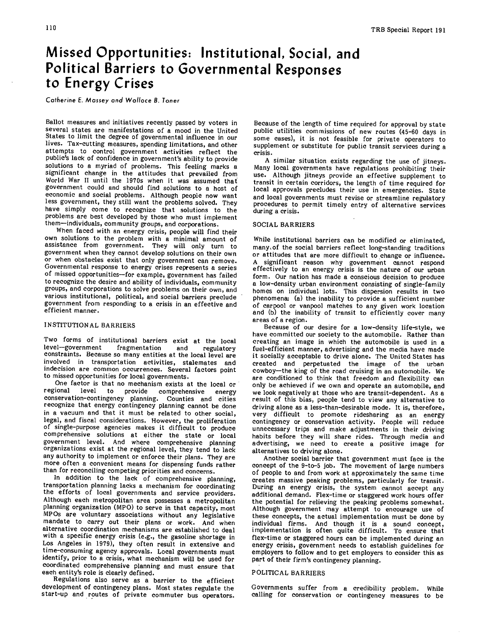## **Missed Opportunities: Institutional, Social, and Political Barriers to Governmental Responses to Energy Crises**

Catherine E. Massey and Wallace B. Toner

Ballot measures and initiatives recently passed by voters in several states are manifestations of a mood in the United States to limit the degree of governmental influence in our lives. Tax-cutting measures, spending limitations, and other attempts to control government activities reflect the public's lack of confidence in government's ability to provide solutions to a myriad of problems. This feeling marks a significant change in the attitudes that prevailed from World War II until the 1970s when it was assumed that government could and should find solutions to a host of economic and social problems. Although people now want less government, they still want the problems solved. They have simply come to recognize that solutions to the problems are best developed by those who must implement them—individuals, community groups, and corporations.

When faced with an energy crisis, people will find their own solutions to the problem with a minimal amount of assistance from government. They will only turn to government when they cannot develop solutions on their own or when obstacles exist that only government can remove. Governmental response to energy crises represents a series of missed opportunities—for example, government has failed to recognize the desire and ability of individuals, community groups, and corporations to solve problems on their own, and various institutional, political, and social barriers preclude government from responding to a crisis in an effective and efficient manner.

#### INSTITUTIONAL BARRIERS

Two forms of institutional barriers exist at the local level-government fragmentation and regulatory fragmentation constraints. Because so many entities at the local level are involved in transportation activities, stalemates and indecision are common occurrences. Several factors point to missed opportunities for local governments.

One factor is that no mechanism exists at the local or regional level to provide comprehensive energy regional level to provide comprehensive energy<br>conservation-contingency planning. Counties and cities recognize that energy contingency planning cannot be done in a vacuum and that it must be related to other social, legal, and fiscal considerations. However, the proliferation of single-purpose agencies makes it difficult to produce comprehensive solutions at either the state or local government level. And where comprehensive planning organizations exist at the regional level, they tend to lack any authority to implement or enforce their plans. They are more often a convenient means for dispensing funds rather than for reconciling competing priorities and concerns.

In addition to the lack of comprehensive planning, transportation planning lacks a mechanism for coordinating the efforts of local governments and service providers. Although each metropolitan area possesses a metropolitan planning organization (MPO) to serve in that capacity, most MPOs are voluntary associations without any legislative mandate to carry out their plans or work. And when alternative coordination mechanisms are established to deal with a specific energy crisis (e.g., the gasoline shortage in Los Angeles in 1979), they often result in extensive and time-consuming agency approvals. Local governments must identify, prior to a crisis, what mechanism will be used for coordinated comprehensive planning and must ensure that each entity's role is clearly defined.

Regulations also serve as a barrier to the efficient development of contingency plans. Most states regulate the start-up and routes of private commuter bus operators.

Because of the length of time required for approval by state public utilities commissions of new routes (45-60 days in some cases), it is not feasible for private operators to supplement or substitute for public transit services during a crisis.

A similar situation exists regarding the use of jitneys. Many local governments have regulations prohibiting their use. Although jitneys provide an effective supplement to transit in certain corridors, the length of time required for local approvals precludes their use in emergencies. State and local governments must revise or streamline regulatory procedures to permit timely entry of alternative services during a crisis.

#### SOCIAL BARRIERS

While institutional barriers can be modified or eliminated, manyof the social barriers reflect long-standing traditions or attitudes that are more difficult to change or influence.<br>A significant reason why government cannot respond significant reason why government cannot respond effectively to an energy crisis is the nature of our urban form. Our nation has made a conscious decision to produce a low-density urban environment consisting of single-family homes on individual lots. This dispersion results in two phenomena: (a) the inability to provide a sufficient number of carpool or vanpool matches to any given work location and (b) the inability of transit to efficiently cover many areas of a region.

Because of our desire for a low-density life-style, we have committed our society to the automobile. Rather than creating an image in which the automobile is used in a fuel-efficient manner, advertising and the media have made it socially acceptable to drive alone. The United States has created and perpetuated the image of the urban cowboy—the king of the road cruising in an automobile. We are conditioned to think that freedom and flexibility can only be achieved if we own and operate an automobile, and we look negatively at those who are transit-dependent. As a result of this bias, people tend to view any alternative to driving alone as a less-than-desirable mode. It is, therefore, very difficult to promote ridesharing as an energy contingency or conservation activity. People will reduce unnecessary trips and make adjustments in their driving habits before they will share rides. Through media and advertising, we need to create a positive image for alternatives to driving alone.

Another social barrier that government must face is the concept of the 9-to-5 job. The movement of large numbers of people to and from work at approximately the same time creates massive peaking problems, particularly for transit. During an energy crisis, the system cannot accept any additional demand. Flex-time or staggered work hours offer the potential for relieving the peaking problems somewhat. Although government may attempt to encourage use of these concepts, the actual implementation must be done by individual firms. And though it is a sound concept, implementation is often quite difficult. To ensure that flex-time or staggered hours can be implemented during an energy crisis, government needs to establish guidelines for employers to follow and to get employers to consider this as part of their firm's contingency planning.

### POLITICAL BARRIERS

Governments suffer from a credibility problem. While calling for conservation or contingency measures to be